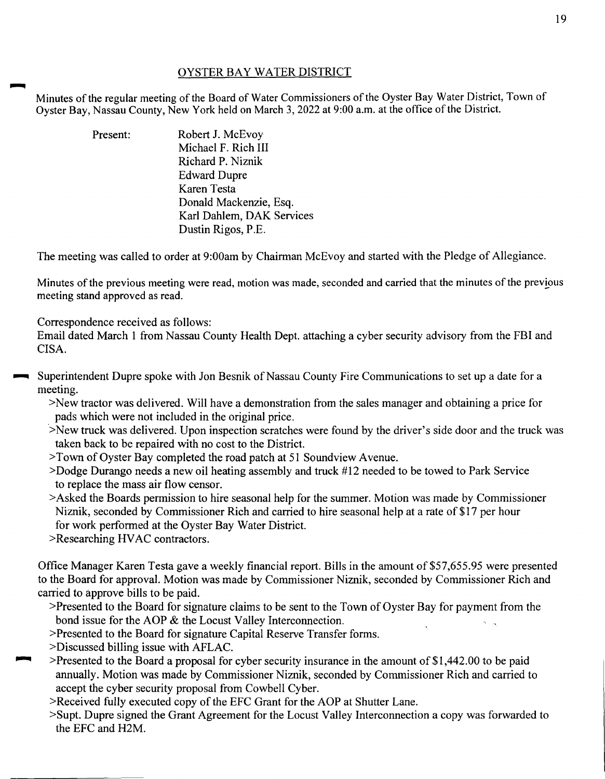## OYSTER BAY WATER DISTRICT

Minutes of the regular meeting of the Board of Water Commissioners of the Oyster Bay Water District, Town of Oyster Bay, Nassau County, New York held on March 3, 2022 at 9:00 a.m. at the office of the District.

> Present: Robert J. McEvoy Michael F. Rich Ill Richard P. Niznik Edward Dupre Karen Testa Donald Mackenzie, Esq. Karl Dahlem, DAK Services Dustin Rigos, P.E.

The meeting was called to order at 9:00am by Chairman McEvoy and started with the Pledge of Allegiance.

Minutes of the previous meeting were read, motion was made, seconded and carried that the minutes of the previous meeting stand approved as read.

Correspondence received as follows:

Email dated March 1 from Nassau County Health Dept. attaching a cyber security advisory from the FBI and CISA.

- Superintendent Dupre spoke with Jon Besnik of Nassau County Fire Communications to set up a date for a meeting.
	- >New tractor was delivered. Will have a demonstration from the sales manager and obtaining a price for pads which were not included in the original price.
	- >New truck was delivered. Upon inspection scratches were found by the driver's side door and the truck was taken back to be repaired with no cost to the District.
	- >Town of Oyster Bay completed the road patch at 51 Soundview Avenue.
	- >Dodge Durango needs a new oil heating assembly and truck #12 needed to be towed to Park Service to replace the mass air flow censor.
	- >Asked the Boards permission to hire seasonal help for the summer. Motion was made by Commissioner Niznik, seconded by Commissioner Rich and carried to hire seasonal help at a rate of \$17 per hour for work performed at the Oyster Bay Water District.
	- >Researching HVAC contractors.

Office Manager Karen Testa gave a weekly financial report. Bills in the amount of \$57,655.95 were presented to the Board for approval. Motion was made by Commissioner Niznik, seconded by Commissioner Rich and carried to approve bills to be paid.

- >Presented to the Board for signature claims to be sent to the Town of Oyster Bay for payment from the bond issue for the AOP & the Locust Valley Interconnection.
- >Presented to the Board for signature Capital Reserve Transfer forms.
- >Discussed billing issue with AFLAC.
- ~ >Presented to the Board a proposal for cyber security insurance in the amount of \$1,442.00 to be paid annually. Motion was made by Commissioner Niznik, seconded by Commissioner Rich and carried to accept the cyber security proposal from Cowbell Cyber.
- >Received fully executed copy of the EFC Grant for the AOP at Shutter Lane.
- >Supt. Dupre signed the Grant Agreement for the Locust Valley Interconnection a copy was forwarded to the EFC and H2M.